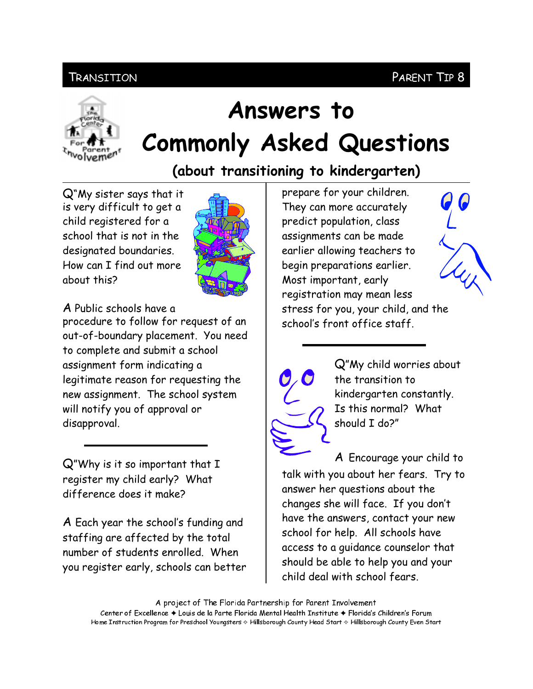## PARENT TIP 8

## **TRANSITION**



# Answers to **Commonly Asked Questions**

(about transitioning to kindergarten)

Q"My sister says that it is very difficult to get a child registered for a school that is not in the designated boundaries. How can I find out more chout this?



A Public schools have a

procedure to follow for request of an out-of-boundary placement. You need to complete and submit a school assignment form indicating a legitimate reason for requesting the new assignment. The school system will notify you of approval or disapproval.

 $Q''$ Why is it so important that  $I$ register my child early? What difference does it make?

A Each year the school's funding and staffing are affected by the total number of students enrolled. When you register early, schools can better

prepare for your children. They can more accurately predict population, class assignments can be made earlier allowing teachers to begin preparations earlier. Most important, early registration may mean less stress for you, your child, and the school's front office staff.





Q"My child worries about the transition to kindergarten constantly. Is this normal? What should I do?"

A Encourage your child to talk with you about her fears. Try to answer her questions about the changes she will face. If you don't have the answers, contact your new school for help. All schools have access to a guidance counselor that should be able to help you and your child deal with school fears.

A project of The Florida Partnership for Parent Involvement Center of Excellence ♦ Louis de la Parte Florida Mental Health Institute ♦ Florida's Children's Forum Home Instruction Program for Preschool Youngsters & Hillsborough County Head Start & Hillsborough County Even Start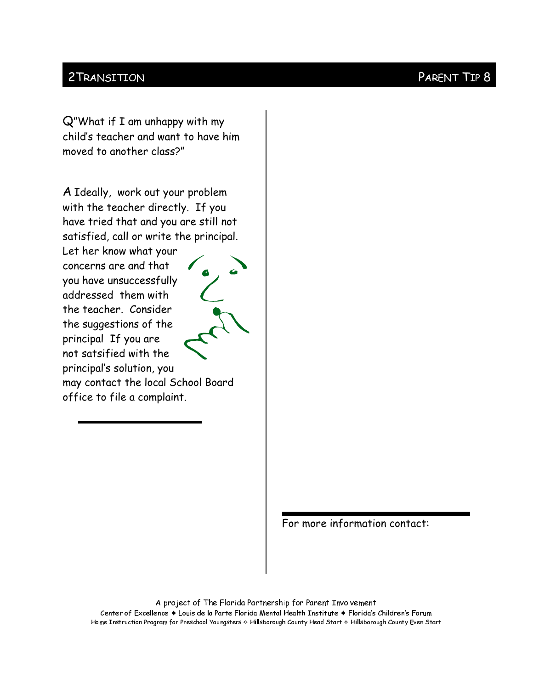#### 2 TRANSITION

Q"What if I am unhappy with my child's teacher and want to have him moved to another class?"

A Ideally, work out your problem with the teacher directly. If you have tried that and you are still not satisfied, call or write the principal.

Let her know what your concerns are and that you have unsuccessfully addressed them with the teacher. Consider the suggestions of the principal If you are not satsified with the principal's solution, you



may contact the local School Board office to file a complaint.

For more information contact:

A project of The Florida Partnership for Parent Involvement Center of Excellence ♦ Louis de la Parte Florida Mental Health Institute ♦ Florida's Children's Forum Home Instruction Program for Preschool Youngsters & Hillsborough County Head Start & Hillsborough County Even Start

### PARENT TIP 8